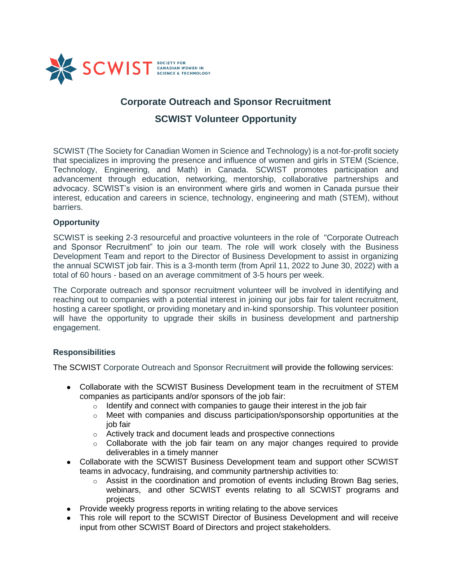

# **Corporate Outreach and Sponsor Recruitment**

## **SCWIST Volunteer Opportunity**

SCWIST (The Society for Canadian Women in Science and Technology) is a not-for-profit society that specializes in improving the presence and influence of women and girls in STEM (Science, Technology, Engineering, and Math) in Canada. SCWIST promotes participation and advancement through education, networking, mentorship, collaborative partnerships and advocacy. SCWIST's vision is an environment where girls and women in Canada pursue their interest, education and careers in science, technology, engineering and math (STEM), without barriers.

### **Opportunity**

SCWIST is seeking 2-3 resourceful and proactive volunteers in the role of "Corporate Outreach and Sponsor Recruitment" to join our team. The role will work closely with the Business Development Team and report to the Director of Business Development to assist in organizing the annual SCWIST job fair. This is a 3-month term (from April 11, 2022 to June 30, 2022) with a total of 60 hours - based on an average commitment of 3-5 hours per week.

The Corporate outreach and sponsor recruitment volunteer will be involved in identifying and reaching out to companies with a potential interest in joining our jobs fair for talent recruitment, hosting a career spotlight, or providing monetary and in-kind sponsorship. This volunteer position will have the opportunity to upgrade their skills in business development and partnership engagement.

## **Responsibilities**

The SCWIST Corporate Outreach and Sponsor Recruitment will provide the following services:

- Collaborate with the SCWIST Business Development team in the recruitment of STEM companies as participants and/or sponsors of the job fair:
	- $\circ$  Identify and connect with companies to gauge their interest in the job fair
	- $\circ$  Meet with companies and discuss participation/sponsorship opportunities at the job fair
	- o Actively track and document leads and prospective connections
	- $\circ$  Collaborate with the job fair team on any major changes required to provide deliverables in a timely manner
- Collaborate with the SCWIST Business Development team and support other SCWIST teams in advocacy, fundraising, and community partnership activities to:
	- $\circ$  Assist in the coordination and promotion of events including Brown Bag series, webinars, and other SCWIST events relating to all SCWIST programs and projects
- Provide weekly progress reports in writing relating to the above services
- This role will report to the SCWIST Director of Business Development and will receive input from other SCWIST Board of Directors and project stakeholders.